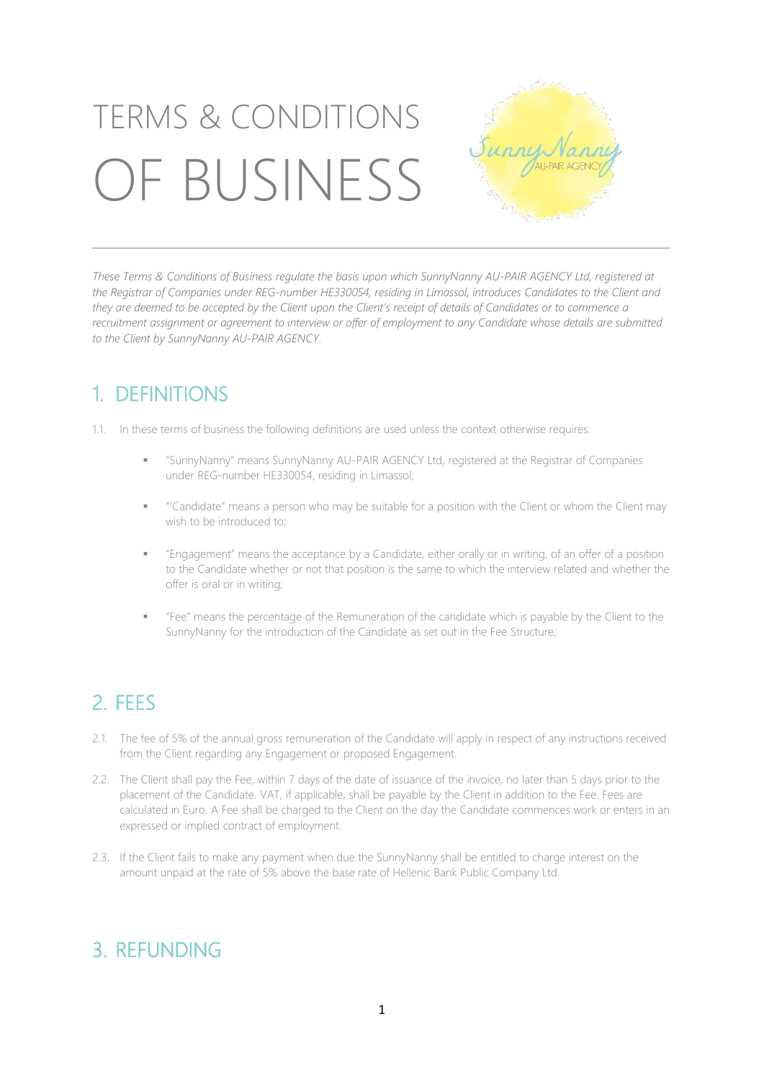# TERMS & CONDITIONS OF BUSINESS



These Terms & Conditions of Business regulate the basis upon which SunnyNanny AU-PAIR AGENCY Ltd, registered at the Registrar of Companies under REG-number HE330054, residing in Limassol, introduces Candidates to the Client and they are deemed to be accepted by the Client upon the Client's receipt of details of Candidates or to commence a recruitment assignment or agreement to interview or offer of employment to any Candidate whose details are submitted *to the Client by SunnyNanny AU-PAIR AGENCY.*

\_\_\_\_\_\_\_\_\_\_\_\_\_\_\_\_\_\_\_\_\_\_\_\_\_\_\_\_\_\_\_\_\_\_\_\_\_\_\_\_\_\_\_\_\_\_\_\_\_\_\_\_\_\_\_\_\_\_\_\_\_\_\_\_\_\_\_\_\_\_\_\_\_\_\_

### 1. DEFINITIONS

1.1. In these terms of business the following definitions are used unless the context otherwise requires:

- "SunnyNanny" means SunnyNanny AU-PAIR AGENCY Ltd, registered at the Registrar of Companies under REG-number HE330054, residing in Limassol;
- "'Candidate" means a person who may be suitable for a position with the Client or whom the Client may wish to be introduced to;
- "Engagement" means the acceptance by a Candidate, either orally or in writing, of an offer of a position to the Candidate whether or not that position is the same to which the interview related and whether the offer is oral or in writing;
- "Fee" means the percentage of the Remuneration of the candidate which is payable by the Client to the SunnyNanny for the introduction of the Candidate as set out in the Fee Structure;

## 2. FEES

- 2.1. The fee of 5% of the annual gross remuneration of the Candidate will apply in respect of any instructions received from the Client regarding any Engagement or proposed Engagement.
- 2.2. The Client shall pay the Fee, within 7 days of the date of issuance of the invoice, no later than 5 days prior to the placement of the Candidate. VAT, if applicable, shall be payable by the Client in addition to the Fee. Fees are calculated in Euro. A Fee shall be charged to the Client on the day the Candidate commences work or enters in an expressed or implied contract of employment.
- 2.3. If the Client fails to make any payment when due the SunnyNanny shall be entitled to charge interest on the amount unpaid at the rate of 5% above the base rate of Hellenic Bank Public Company Ltd.

#### 3. REFUNDING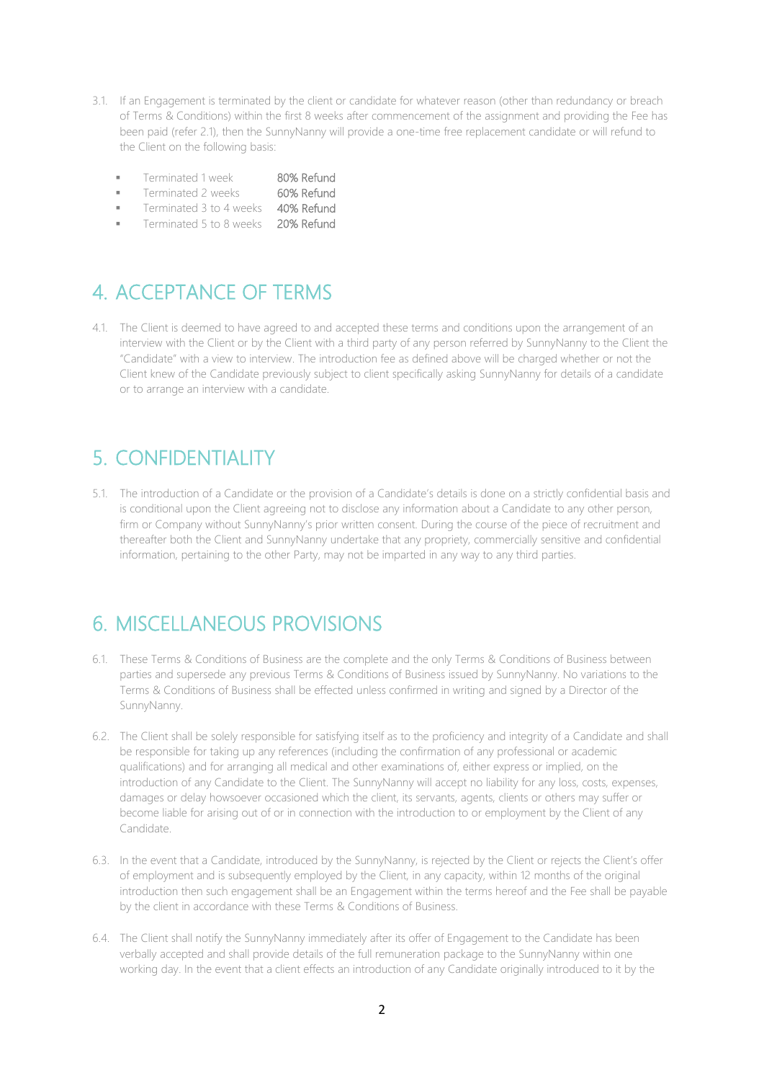- 3.1. If an Engagement is terminated by the client or candidate for whatever reason (other than redundancy or breach of Terms & Conditions) within the first 8 weeks after commencement of the assignment and providing the Fee has been paid (refer 2.1), then the SunnyNanny will provide a one-time free replacement candidate or will refund to the Client on the following basis:
	- Terminated 1 week 80% Refund
	- Terminated 2 weeks 60% Refund
	- Terminated 3 to 4 weeks 40% Refund
	- Terminated 5 to 8 weeks 20% Refund

#### 4. ACCEPTANCE OF TERMS

4.1. The Client is deemed to have agreed to and accepted these terms and conditions upon the arrangement of an interview with the Client or by the Client with a third party of any person referred by SunnyNanny to the Client the "Candidate" with a view to interview. The introduction fee as defined above will be charged whether or not the Client knew of the Candidate previously subject to client specifically asking SunnyNanny for details of a candidate or to arrange an interview with a candidate.

#### 5. CONFIDENTIALITY

5.1. The introduction of a Candidate or the provision of a Candidate's details is done on a strictly confidential basis and is conditional upon the Client agreeing not to disclose any information about a Candidate to any other person, firm or Company without SunnyNanny's prior written consent. During the course of the piece of recruitment and thereafter both the Client and SunnyNanny undertake that any propriety, commercially sensitive and confidential information, pertaining to the other Party, may not be imparted in any way to any third parties.

#### 6. MISCELLANEOUS PROVISIONS

- 6.1. These Terms & Conditions of Business are the complete and the only Terms & Conditions of Business between parties and supersede any previous Terms & Conditions of Business issued by SunnyNanny. No variations to the Terms & Conditions of Business shall be effected unless confirmed in writing and signed by a Director of the SunnyNanny.
- 6.2. The Client shall be solely responsible for satisfying itself as to the proficiency and integrity of a Candidate and shall be responsible for taking up any references (including the confirmation of any professional or academic qualifications) and for arranging all medical and other examinations of, either express or implied, on the introduction of any Candidate to the Client. The SunnyNanny will accept no liability for any loss, costs, expenses, damages or delay howsoever occasioned which the client, its servants, agents, clients or others may suffer or become liable for arising out of or in connection with the introduction to or employment by the Client of any Candidate.
- 6.3. In the event that a Candidate, introduced by the SunnyNanny, is rejected by the Client or rejects the Client's offer of employment and is subsequently employed by the Client, in any capacity, within 12 months of the original introduction then such engagement shall be an Engagement within the terms hereof and the Fee shall be payable by the client in accordance with these Terms & Conditions of Business.
- 6.4. The Client shall notify the SunnyNanny immediately after its offer of Engagement to the Candidate has been verbally accepted and shall provide details of the full remuneration package to the SunnyNanny within one working day. In the event that a client effects an introduction of any Candidate originally introduced to it by the